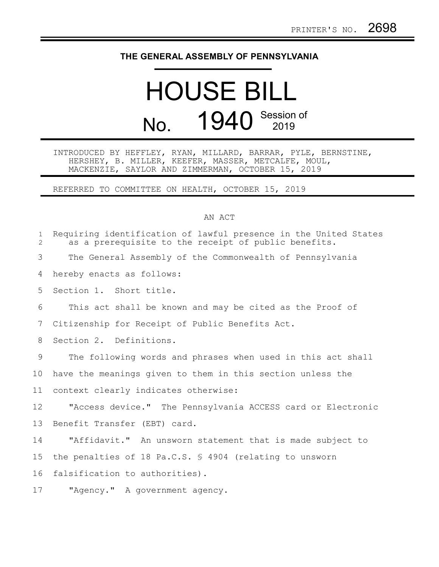## **THE GENERAL ASSEMBLY OF PENNSYLVANIA**

## HOUSE BILL No. 1940 Session of

INTRODUCED BY HEFFLEY, RYAN, MILLARD, BARRAR, PYLE, BERNSTINE, HERSHEY, B. MILLER, KEEFER, MASSER, METCALFE, MOUL, MACKENZIE, SAYLOR AND ZIMMERMAN, OCTOBER 15, 2019

REFERRED TO COMMITTEE ON HEALTH, OCTOBER 15, 2019

## AN ACT

| $\mathbf 1$<br>$\overline{2}$ | Requiring identification of lawful presence in the United States<br>as a prerequisite to the receipt of public benefits. |
|-------------------------------|--------------------------------------------------------------------------------------------------------------------------|
| 3                             | The General Assembly of the Commonwealth of Pennsylvania                                                                 |
| 4                             | hereby enacts as follows:                                                                                                |
| 5                             | Section 1. Short title.                                                                                                  |
| 6                             | This act shall be known and may be cited as the Proof of                                                                 |
| 7                             | Citizenship for Receipt of Public Benefits Act.                                                                          |
| 8                             | Section 2. Definitions.                                                                                                  |
| 9                             | The following words and phrases when used in this act shall                                                              |
| 10                            | have the meanings given to them in this section unless the                                                               |
| 11                            | context clearly indicates otherwise:                                                                                     |
| 12                            | "Access device." The Pennsylvania ACCESS card or Electronic                                                              |
| 13                            | Benefit Transfer (EBT) card.                                                                                             |
| 14                            | "Affidavit." An unsworn statement that is made subject to                                                                |
| 15                            | the penalties of 18 Pa.C.S. § 4904 (relating to unsworn                                                                  |
| 16                            | falsification to authorities).                                                                                           |
| 17                            | "Agency." A government agency.                                                                                           |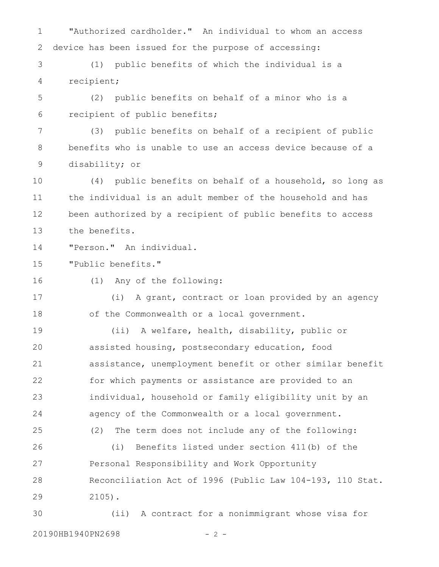"Authorized cardholder." An individual to whom an access device has been issued for the purpose of accessing: 1 2

(1) public benefits of which the individual is a recipient; 3 4

(2) public benefits on behalf of a minor who is a recipient of public benefits; 5 6

(3) public benefits on behalf of a recipient of public benefits who is unable to use an access device because of a disability; or 7 8 9

(4) public benefits on behalf of a household, so long as the individual is an adult member of the household and has been authorized by a recipient of public benefits to access the benefits. 10 11 12 13

"Person." An individual. 14

"Public benefits." 15

16

(1) Any of the following:

(i) A grant, contract or loan provided by an agency of the Commonwealth or a local government. 17 18

(ii) A welfare, health, disability, public or assisted housing, postsecondary education, food assistance, unemployment benefit or other similar benefit for which payments or assistance are provided to an individual, household or family eligibility unit by an agency of the Commonwealth or a local government. (2) The term does not include any of the following: (i) Benefits listed under section 411(b) of the Personal Responsibility and Work Opportunity Reconciliation Act of 1996 (Public Law 104-193, 110 Stat. 2105). 19 20 21 22 23 24 25 26 27 28 29

(ii) A contract for a nonimmigrant whose visa for 20190HB1940PN2698 - 2 -30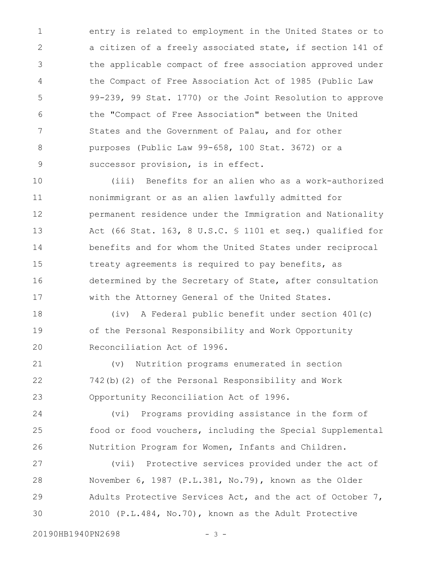entry is related to employment in the United States or to a citizen of a freely associated state, if section 141 of the applicable compact of free association approved under the Compact of Free Association Act of 1985 (Public Law 99-239, 99 Stat. 1770) or the Joint Resolution to approve the "Compact of Free Association" between the United States and the Government of Palau, and for other purposes (Public Law 99-658, 100 Stat. 3672) or a successor provision, is in effect. 1 2 3 4 5 6 7 8 9

(iii) Benefits for an alien who as a work-authorized nonimmigrant or as an alien lawfully admitted for permanent residence under the Immigration and Nationality Act (66 Stat. 163, 8 U.S.C. § 1101 et seq.) qualified for benefits and for whom the United States under reciprocal treaty agreements is required to pay benefits, as determined by the Secretary of State, after consultation with the Attorney General of the United States. 10 11 12 13 14 15 16 17

(iv) A Federal public benefit under section 401(c) of the Personal Responsibility and Work Opportunity Reconciliation Act of 1996. 18 19 20

(v) Nutrition programs enumerated in section 742(b)(2) of the Personal Responsibility and Work Opportunity Reconciliation Act of 1996. 21 22 23

(vi) Programs providing assistance in the form of food or food vouchers, including the Special Supplemental Nutrition Program for Women, Infants and Children. 24 25 26

(vii) Protective services provided under the act of November 6, 1987 (P.L.381, No.79), known as the Older Adults Protective Services Act, and the act of October 7, 2010 (P.L.484, No.70), known as the Adult Protective 27 28 29 30

20190HB1940PN2698 - 3 -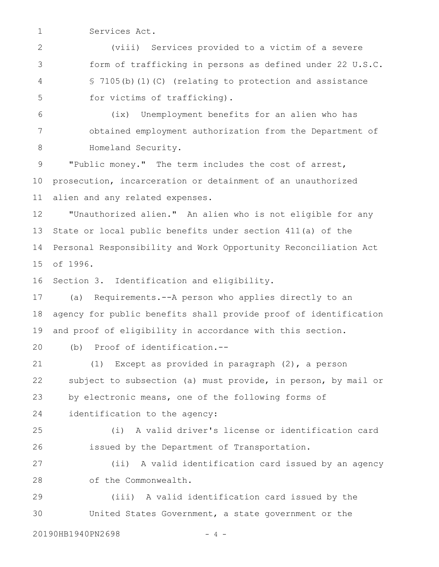Services Act. 1

(viii) Services provided to a victim of a severe form of trafficking in persons as defined under 22 U.S.C. § 7105(b)(1)(C) (relating to protection and assistance for victims of trafficking). 2 3 4 5

(ix) Unemployment benefits for an alien who has obtained employment authorization from the Department of Homeland Security. 6 7 8

"Public money." The term includes the cost of arrest, prosecution, incarceration or detainment of an unauthorized alien and any related expenses. 9 10 11

"Unauthorized alien." An alien who is not eligible for any State or local public benefits under section 411(a) of the Personal Responsibility and Work Opportunity Reconciliation Act of 1996. 12 13 14 15

Section 3. Identification and eligibility. 16

(a) Requirements.--A person who applies directly to an agency for public benefits shall provide proof of identification and proof of eligibility in accordance with this section. 17 18 19

(b) Proof of identification.-- 20

(1) Except as provided in paragraph (2), a person subject to subsection (a) must provide, in person, by mail or by electronic means, one of the following forms of identification to the agency: 21 22 23 24

(i) A valid driver's license or identification card issued by the Department of Transportation. 25 26

(ii) A valid identification card issued by an agency of the Commonwealth. 27 28

(iii) A valid identification card issued by the United States Government, a state government or the 29 30

20190HB1940PN2698 - 4 -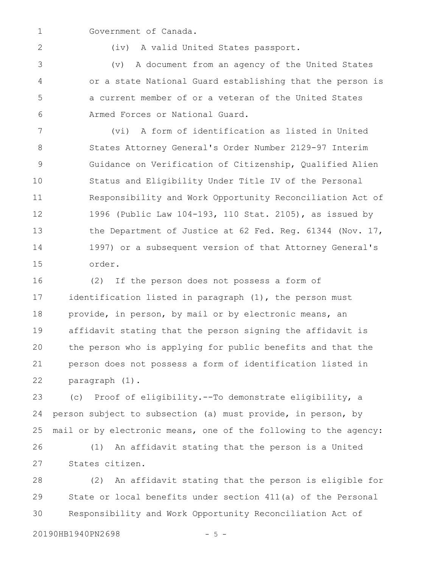Government of Canada. 1

2

(iv) A valid United States passport.

(v) A document from an agency of the United States or a state National Guard establishing that the person is a current member of or a veteran of the United States Armed Forces or National Guard. 3 4 5 6

(vi) A form of identification as listed in United States Attorney General's Order Number 2129-97 Interim Guidance on Verification of Citizenship, Qualified Alien Status and Eligibility Under Title IV of the Personal Responsibility and Work Opportunity Reconciliation Act of 1996 (Public Law 104-193, 110 Stat. 2105), as issued by the Department of Justice at 62 Fed. Reg. 61344 (Nov. 17, 1997) or a subsequent version of that Attorney General's order. 7 8 9 10 11 12 13 14 15

(2) If the person does not possess a form of identification listed in paragraph (1), the person must provide, in person, by mail or by electronic means, an affidavit stating that the person signing the affidavit is the person who is applying for public benefits and that the person does not possess a form of identification listed in paragraph (1). 16 17 18 19 20 21 22

(c) Proof of eligibility.--To demonstrate eligibility, a person subject to subsection (a) must provide, in person, by mail or by electronic means, one of the following to the agency: (1) An affidavit stating that the person is a United 23 24 25 26

States citizen. 27

(2) An affidavit stating that the person is eligible for State or local benefits under section 411(a) of the Personal Responsibility and Work Opportunity Reconciliation Act of 28 29 30

20190HB1940PN2698 - 5 -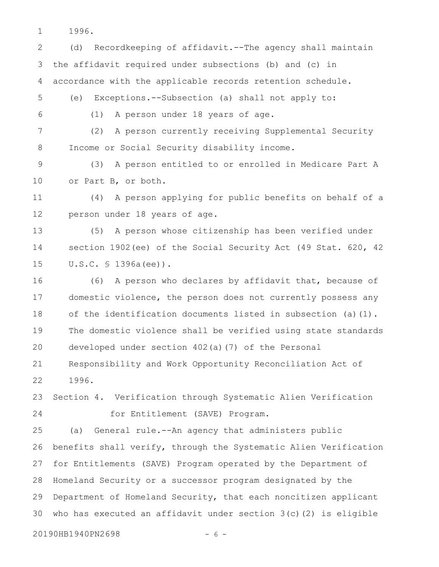1996. 1

(d) Recordkeeping of affidavit.--The agency shall maintain the affidavit required under subsections (b) and (c) in accordance with the applicable records retention schedule. 2 3 4

(e) Exceptions.--Subsection (a) shall not apply to: 5

6

(1) A person under 18 years of age.

(2) A person currently receiving Supplemental Security Income or Social Security disability income. 7 8

(3) A person entitled to or enrolled in Medicare Part A or Part B, or both. 9 10

(4) A person applying for public benefits on behalf of a person under 18 years of age. 11 12

(5) A person whose citizenship has been verified under section 1902(ee) of the Social Security Act (49 Stat. 620, 42 U.S.C. § 1396a(ee)). 13 14 15

(6) A person who declares by affidavit that, because of domestic violence, the person does not currently possess any of the identification documents listed in subsection (a)(1). The domestic violence shall be verified using state standards developed under section 402(a)(7) of the Personal 16 17 18 19 20

Responsibility and Work Opportunity Reconciliation Act of 1996. 21 22

Section 4. Verification through Systematic Alien Verification for Entitlement (SAVE) Program. 23 24

(a) General rule.--An agency that administers public benefits shall verify, through the Systematic Alien Verification for Entitlements (SAVE) Program operated by the Department of Homeland Security or a successor program designated by the Department of Homeland Security, that each noncitizen applicant who has executed an affidavit under section 3(c)(2) is eligible 25 26 27 28 29 30

20190HB1940PN2698 - 6 -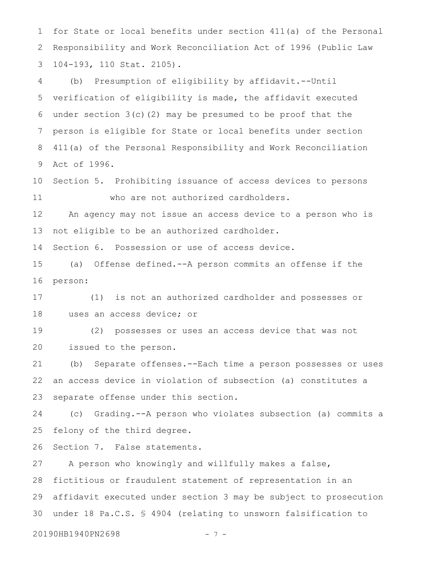for State or local benefits under section 411(a) of the Personal Responsibility and Work Reconciliation Act of 1996 (Public Law 104-193, 110 Stat. 2105). 1 2 3

(b) Presumption of eligibility by affidavit.--Until verification of eligibility is made, the affidavit executed under section 3(c)(2) may be presumed to be proof that the person is eligible for State or local benefits under section 411(a) of the Personal Responsibility and Work Reconciliation Act of 1996. 4 5 6 7 8 9

Section 5. Prohibiting issuance of access devices to persons who are not authorized cardholders. 10 11

An agency may not issue an access device to a person who is not eligible to be an authorized cardholder. 12 13

Section 6. Possession or use of access device. 14

(a) Offense defined.--A person commits an offense if the person: 15 16

(1) is not an authorized cardholder and possesses or uses an access device; or 17 18

(2) possesses or uses an access device that was not issued to the person. 19 20

(b) Separate offenses.--Each time a person possesses or uses an access device in violation of subsection (a) constitutes a separate offense under this section. 21 22 23

(c) Grading.--A person who violates subsection (a) commits a felony of the third degree. 24 25

Section 7. False statements. 26

A person who knowingly and willfully makes a false, fictitious or fraudulent statement of representation in an affidavit executed under section 3 may be subject to prosecution under 18 Pa.C.S. § 4904 (relating to unsworn falsification to 27 28 29 30

20190HB1940PN2698 - 7 -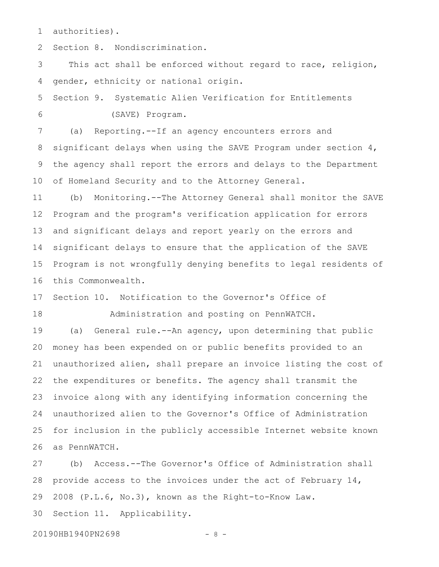authorities). 1

Section 8. Nondiscrimination. 2

This act shall be enforced without regard to race, religion, gender, ethnicity or national origin. 3 4

Section 9. Systematic Alien Verification for Entitlements (SAVE) Program. 5 6

(a) Reporting.--If an agency encounters errors and significant delays when using the SAVE Program under section 4, the agency shall report the errors and delays to the Department of Homeland Security and to the Attorney General. 7 8 9 10

(b) Monitoring.--The Attorney General shall monitor the SAVE Program and the program's verification application for errors and significant delays and report yearly on the errors and significant delays to ensure that the application of the SAVE Program is not wrongfully denying benefits to legal residents of this Commonwealth. 11 12 13 14 15 16

Section 10. Notification to the Governor's Office of Administration and posting on PennWATCH. 17 18

(a) General rule.--An agency, upon determining that public money has been expended on or public benefits provided to an unauthorized alien, shall prepare an invoice listing the cost of the expenditures or benefits. The agency shall transmit the invoice along with any identifying information concerning the unauthorized alien to the Governor's Office of Administration for inclusion in the publicly accessible Internet website known as PennWATCH. 19 20 21 22 23 24 25 26

(b) Access.--The Governor's Office of Administration shall provide access to the invoices under the act of February 14, 2008 (P.L.6, No.3), known as the Right-to-Know Law. Section 11. Applicability. 27 28 29 30

20190HB1940PN2698 - 8 -